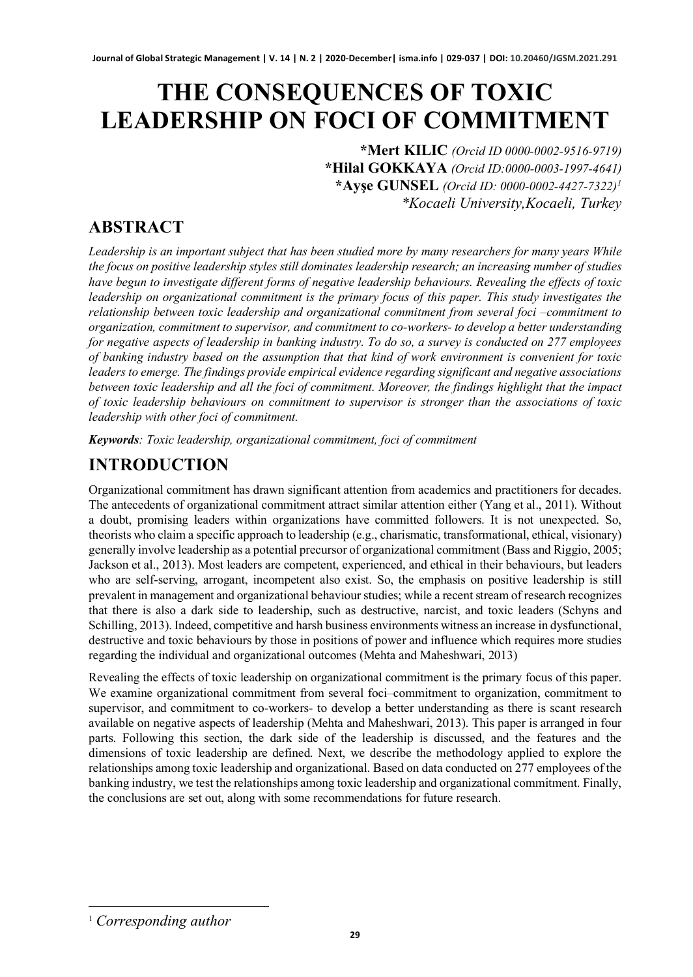# **THE CONSEQUENCES OF TOXIC LEADERSHIP ON FOCI OF COMMITMENT**

**\*Mert KILIC** *(Orcid ID 0000-0002-9516-9719)* **\*Hilal GOKKAYA** *(Orcid ID:0000-0003-1997-4641)* **\*Ayşe GUNSEL** *(Orcid ID: 0000-0002-4427-7322)[1](#page-0-0) \*Kocaeli University,Kocaeli, Turkey* 

# **ABSTRACT**

*Leadership is an important subject that has been studied more by many researchers for many years While the focus on positive leadership styles still dominates leadership research; an increasing number of studies have begun to investigate different forms of negative leadership behaviours. Revealing the effects of toxic leadership on organizational commitment is the primary focus of this paper. This study investigates the relationship between toxic leadership and organizational commitment from several foci –commitment to organization, commitment to supervisor, and commitment to co-workers- to develop a better understanding for negative aspects of leadership in banking industry. To do so, a survey is conducted on 277 employees of banking industry based on the assumption that that kind of work environment is convenient for toxic leaders to emerge. The findings provide empirical evidence regarding significant and negative associations between toxic leadership and all the foci of commitment. Moreover, the findings highlight that the impact of toxic leadership behaviours on commitment to supervisor is stronger than the associations of toxic leadership with other foci of commitment.*

*Keywords: Toxic leadership, organizational commitment, foci of commitment*

# **INTRODUCTION**

Organizational commitment has drawn significant attention from academics and practitioners for decades. The antecedents of organizational commitment attract similar attention either (Yang et al., 2011). Without a doubt, promising leaders within organizations have committed followers. It is not unexpected. So, theorists who claim a specific approach to leadership (e.g., charismatic, transformational, ethical, visionary) generally involve leadership as a potential precursor of organizational commitment (Bass and Riggio, 2005; Jackson et al., 2013). Most leaders are competent, experienced, and ethical in their behaviours, but leaders who are self-serving, arrogant, incompetent also exist. So, the emphasis on positive leadership is still prevalent in management and organizational behaviour studies; while a recent stream of research recognizes that there is also a dark side to leadership, such as destructive, narcist, and toxic leaders (Schyns and Schilling, 2013). Indeed, competitive and harsh business environments witness an increase in dysfunctional, destructive and toxic behaviours by those in positions of power and influence which requires more studies regarding the individual and organizational outcomes (Mehta and Maheshwari, 2013)

Revealing the effects of toxic leadership on organizational commitment is the primary focus of this paper. We examine organizational commitment from several foci–commitment to organization, commitment to supervisor, and commitment to co-workers- to develop a better understanding as there is scant research available on negative aspects of leadership (Mehta and Maheshwari, 2013). This paper is arranged in four parts. Following this section, the dark side of the leadership is discussed, and the features and the dimensions of toxic leadership are defined. Next, we describe the methodology applied to explore the relationships among toxic leadership and organizational. Based on data conducted on 277 employees of the banking industry, we test the relationships among toxic leadership and organizational commitment. Finally, the conclusions are set out, along with some recommendations for future research.

<span id="page-0-0"></span><sup>1</sup> *Corresponding author*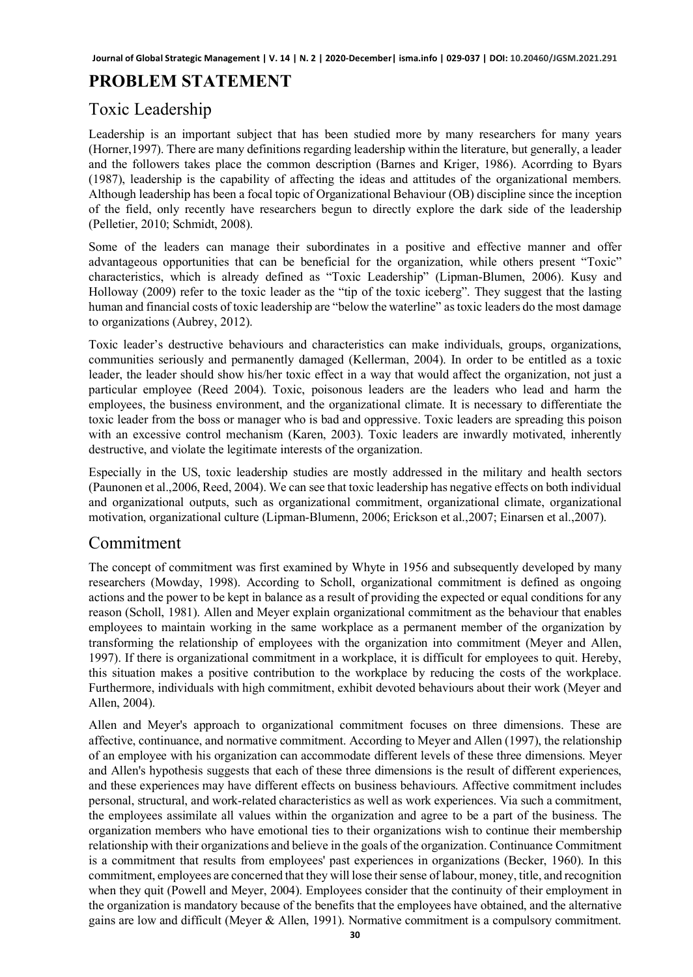### **PROBLEM STATEMENT**

#### Toxic Leadership

Leadership is an important subject that has been studied more by many researchers for many years (Horner,1997). There are many definitions regarding leadership within the literature, but generally, a leader and the followers takes place the common description (Barnes and Kriger, 1986). Acorrding to Byars (1987), leadership is the capability of affecting the ideas and attitudes of the organizational members. Although leadership has been a focal topic of Organizational Behaviour (OB) discipline since the inception of the field, only recently have researchers begun to directly explore the dark side of the leadership (Pelletier, 2010; Schmidt, 2008).

Some of the leaders can manage their subordinates in a positive and effective manner and offer advantageous opportunities that can be beneficial for the organization, while others present "Toxic" characteristics, which is already defined as "Toxic Leadership" (Lipman-Blumen, 2006). Kusy and Holloway (2009) refer to the toxic leader as the "tip of the toxic iceberg". They suggest that the lasting human and financial costs of toxic leadership are "below the waterline" as toxic leaders do the most damage to organizations (Aubrey, 2012).

Toxic leader's destructive behaviours and characteristics can make individuals, groups, organizations, communities seriously and permanently damaged (Kellerman, 2004). In order to be entitled as a toxic leader, the leader should show his/her toxic effect in a way that would affect the organization, not just a particular employee (Reed 2004). Toxic, poisonous leaders are the leaders who lead and harm the employees, the business environment, and the organizational climate. It is necessary to differentiate the toxic leader from the boss or manager who is bad and oppressive. Toxic leaders are spreading this poison with an excessive control mechanism (Karen, 2003). Toxic leaders are inwardly motivated, inherently destructive, and violate the legitimate interests of the organization.

Especially in the US, toxic leadership studies are mostly addressed in the military and health sectors (Paunonen et al.,2006, Reed, 2004). We can see that toxic leadership has negative effects on both individual and organizational outputs, such as organizational commitment, organizational climate, organizational motivation, organizational culture (Lipman-Blumenn, 2006; Erickson et al.,2007; Einarsen et al.,2007).

#### Commitment

The concept of commitment was first examined by Whyte in 1956 and subsequently developed by many researchers (Mowday, 1998). According to Scholl, organizational commitment is defined as ongoing actions and the power to be kept in balance as a result of providing the expected or equal conditions for any reason (Scholl, 1981). Allen and Meyer explain organizational commitment as the behaviour that enables employees to maintain working in the same workplace as a permanent member of the organization by transforming the relationship of employees with the organization into commitment (Meyer and Allen, 1997). If there is organizational commitment in a workplace, it is difficult for employees to quit. Hereby, this situation makes a positive contribution to the workplace by reducing the costs of the workplace. Furthermore, individuals with high commitment, exhibit devoted behaviours about their work (Meyer and Allen, 2004).

Allen and Meyer's approach to organizational commitment focuses on three dimensions. These are affective, continuance, and normative commitment. According to Meyer and Allen (1997), the relationship of an employee with his organization can accommodate different levels of these three dimensions. Meyer and Allen's hypothesis suggests that each of these three dimensions is the result of different experiences, and these experiences may have different effects on business behaviours. Affective commitment includes personal, structural, and work-related characteristics as well as work experiences. Via such a commitment, the employees assimilate all values within the organization and agree to be a part of the business. The organization members who have emotional ties to their organizations wish to continue their membership relationship with their organizations and believe in the goals of the organization. Continuance Commitment is a commitment that results from employees' past experiences in organizations (Becker, 1960). In this commitment, employees are concerned that they will lose their sense of labour, money, title, and recognition when they quit (Powell and Meyer, 2004). Employees consider that the continuity of their employment in the organization is mandatory because of the benefits that the employees have obtained, and the alternative gains are low and difficult (Meyer & Allen, 1991). Normative commitment is a compulsory commitment.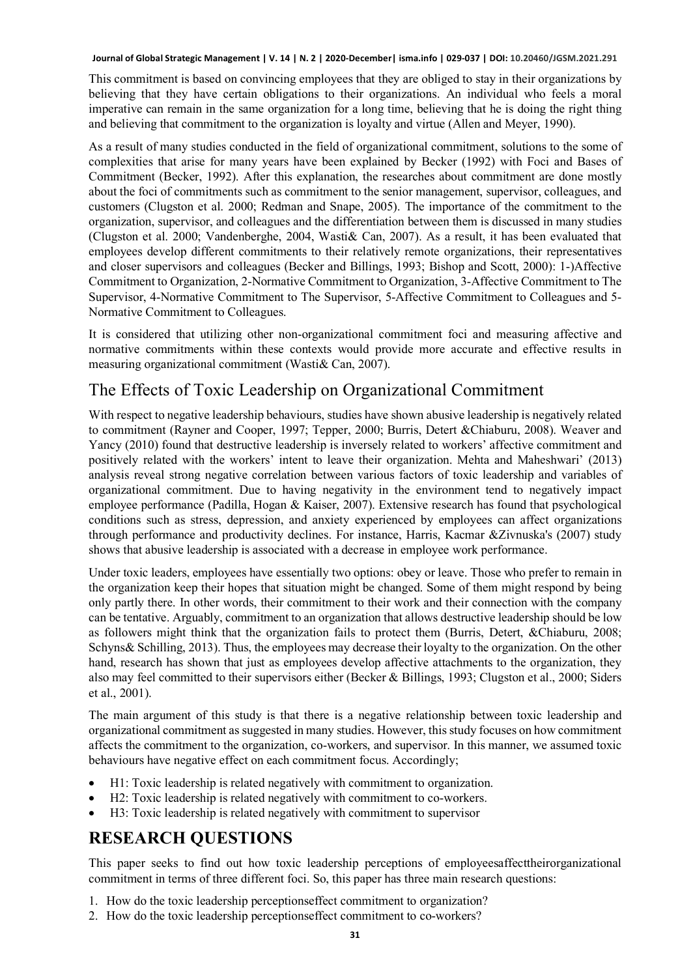This commitment is based on convincing employees that they are obliged to stay in their organizations by believing that they have certain obligations to their organizations. An individual who feels a moral imperative can remain in the same organization for a long time, believing that he is doing the right thing and believing that commitment to the organization is loyalty and virtue (Allen and Meyer, 1990).

As a result of many studies conducted in the field of organizational commitment, solutions to the some of complexities that arise for many years have been explained by Becker (1992) with Foci and Bases of Commitment (Becker, 1992). After this explanation, the researches about commitment are done mostly about the foci of commitments such as commitment to the senior management, supervisor, colleagues, and customers (Clugston et al. 2000; Redman and Snape, 2005). The importance of the commitment to the organization, supervisor, and colleagues and the differentiation between them is discussed in many studies (Clugston et al. 2000; Vandenberghe, 2004, Wasti& Can, 2007). As a result, it has been evaluated that employees develop different commitments to their relatively remote organizations, their representatives and closer supervisors and colleagues (Becker and Billings, 1993; Bishop and Scott, 2000): 1-)Affective Commitment to Organization, 2-Normative Commitment to Organization, 3-Affective Commitment to The Supervisor, 4-Normative Commitment to The Supervisor, 5-Affective Commitment to Colleagues and 5- Normative Commitment to Colleagues.

It is considered that utilizing other non-organizational commitment foci and measuring affective and normative commitments within these contexts would provide more accurate and effective results in measuring organizational commitment (Wasti& Can, 2007).

#### The Effects of Toxic Leadership on Organizational Commitment

With respect to negative leadership behaviours, studies have shown abusive leadership is negatively related to commitment (Rayner and Cooper, 1997; Tepper, 2000; Burris, Detert &Chiaburu, 2008). Weaver and Yancy (2010) found that destructive leadership is inversely related to workers' affective commitment and positively related with the workers' intent to leave their organization. Mehta and Maheshwari' (2013) analysis reveal strong negative correlation between various factors of toxic leadership and variables of organizational commitment. Due to having negativity in the environment tend to negatively impact employee performance (Padilla, Hogan & Kaiser, 2007). Extensive research has found that psychological conditions such as stress, depression, and anxiety experienced by employees can affect organizations through performance and productivity declines. For instance, Harris, Kacmar &Zivnuska's (2007) study shows that abusive leadership is associated with a decrease in employee work performance.

Under toxic leaders, employees have essentially two options: obey or leave. Those who prefer to remain in the organization keep their hopes that situation might be changed. Some of them might respond by being only partly there. In other words, their commitment to their work and their connection with the company can be tentative. Arguably, commitment to an organization that allows destructive leadership should be low as followers might think that the organization fails to protect them (Burris, Detert, &Chiaburu, 2008; Schyns& Schilling, 2013). Thus, the employees may decrease their loyalty to the organization. On the other hand, research has shown that just as employees develop affective attachments to the organization, they also may feel committed to their supervisors either (Becker & Billings, 1993; Clugston et al., 2000; Siders et al., 2001).

The main argument of this study is that there is a negative relationship between toxic leadership and organizational commitment as suggested in many studies. However, this study focuses on how commitment affects the commitment to the organization, co-workers, and supervisor. In this manner, we assumed toxic behaviours have negative effect on each commitment focus. Accordingly;

- H1: Toxic leadership is related negatively with commitment to organization.
- H2: Toxic leadership is related negatively with commitment to co-workers.
- H3: Toxic leadership is related negatively with commitment to supervisor

#### **RESEARCH QUESTIONS**

This paper seeks to find out how toxic leadership perceptions of employeesaffecttheirorganizational commitment in terms of three different foci. So, this paper has three main research questions:

- 1. How do the toxic leadership perceptionseffect commitment to organization?
- 2. How do the toxic leadership perceptionseffect commitment to co-workers?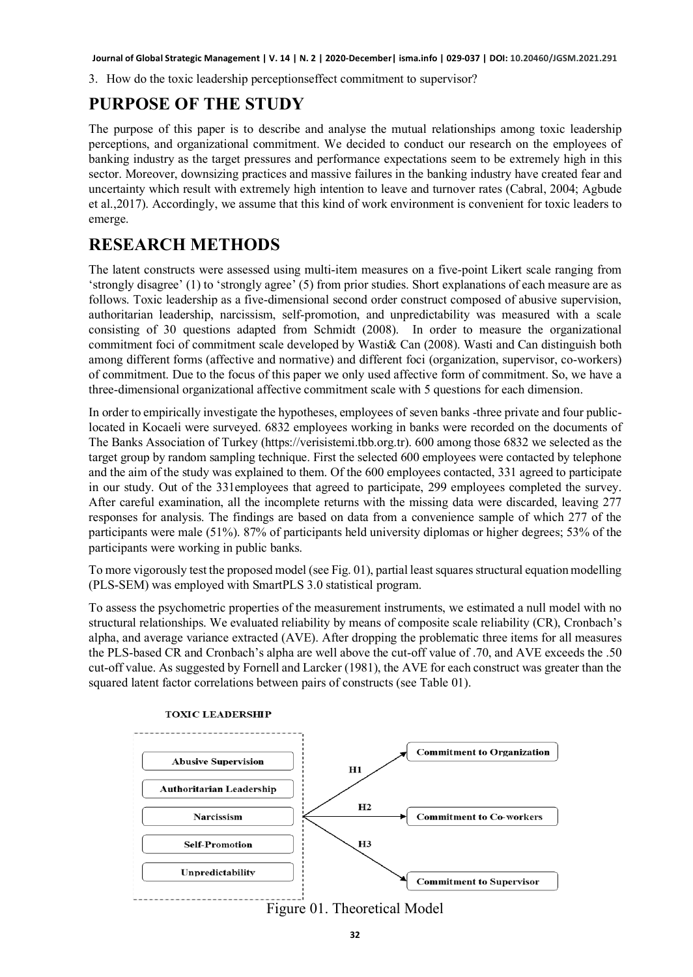3. How do the toxic leadership perceptionseffect commitment to supervisor?

#### **PURPOSE OF THE STUDY**

The purpose of this paper is to describe and analyse the mutual relationships among toxic leadership perceptions, and organizational commitment. We decided to conduct our research on the employees of banking industry as the target pressures and performance expectations seem to be extremely high in this sector. Moreover, downsizing practices and massive failures in the banking industry have created fear and uncertainty which result with extremely high intention to leave and turnover rates (Cabral, 2004; Agbude et al.,2017). Accordingly, we assume that this kind of work environment is convenient for toxic leaders to emerge.

#### **RESEARCH METHODS**

The latent constructs were assessed using multi-item measures on a five-point Likert scale ranging from 'strongly disagree' (1) to 'strongly agree' (5) from prior studies. Short explanations of each measure are as follows. Toxic leadership as a five-dimensional second order construct composed of abusive supervision, authoritarian leadership, narcissism, self-promotion, and unpredictability was measured with a scale consisting of 30 questions adapted from Schmidt (2008). In order to measure the organizational commitment foci of commitment scale developed by Wasti& Can (2008). Wasti and Can distinguish both among different forms (affective and normative) and different foci (organization, supervisor, co-workers) of commitment. Due to the focus of this paper we only used affective form of commitment. So, we have a three-dimensional organizational affective commitment scale with 5 questions for each dimension.

In order to empirically investigate the hypotheses, employees of seven banks -three private and four publiclocated in Kocaeli were surveyed. 6832 employees working in banks were recorded on the documents of The Banks Association of Turkey (https://verisistemi.tbb.org.tr). 600 among those 6832 we selected as the target group by random sampling technique. First the selected 600 employees were contacted by telephone and the aim of the study was explained to them. Of the 600 employees contacted, 331 agreed to participate in our study. Out of the 331employees that agreed to participate, 299 employees completed the survey. After careful examination, all the incomplete returns with the missing data were discarded, leaving 277 responses for analysis. The findings are based on data from a convenience sample of which 277 of the participants were male (51%). 87% of participants held university diplomas or higher degrees; 53% of the participants were working in public banks.

To more vigorously test the proposed model (see Fig. 01), partial least squares structural equation modelling (PLS-SEM) was employed with SmartPLS 3.0 statistical program.

To assess the psychometric properties of the measurement instruments, we estimated a null model with no structural relationships. We evaluated reliability by means of composite scale reliability (CR), Cronbach's alpha, and average variance extracted (AVE). After dropping the problematic three items for all measures the PLS-based CR and Cronbach's alpha are well above the cut-off value of .70, and AVE exceeds the .50 cut-off value. As suggested by Fornell and Larcker (1981), the AVE for each construct was greater than the squared latent factor correlations between pairs of constructs (see Table 01).



Figure 01. Theoretical Model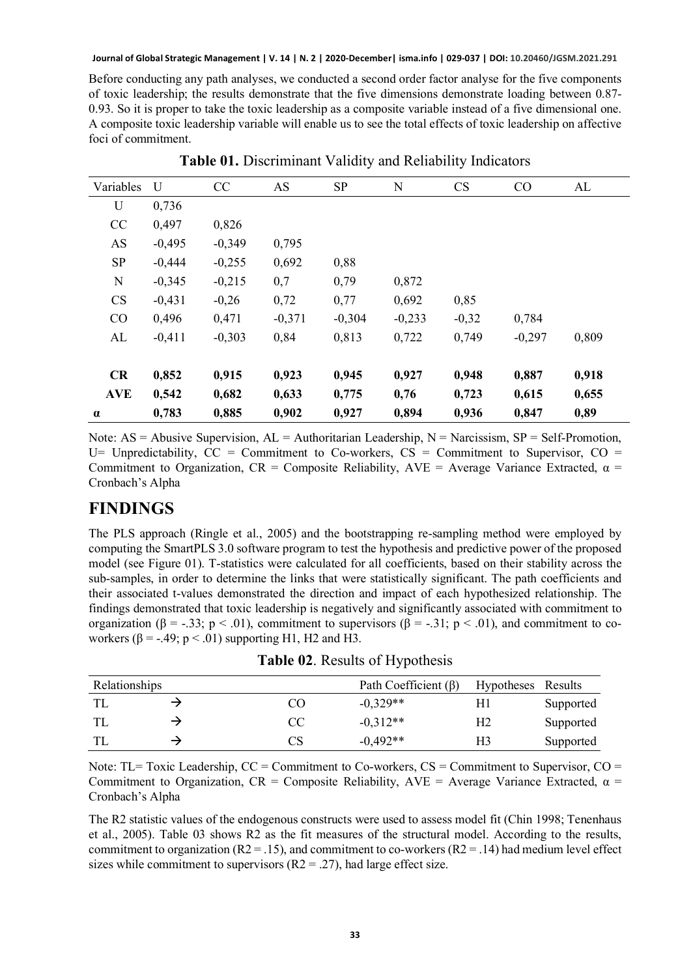Before conducting any path analyses, we conducted a second order factor analyse for the five components of toxic leadership; the results demonstrate that the five dimensions demonstrate loading between 0.87- 0.93. So it is proper to take the toxic leadership as a composite variable instead of a five dimensional one. A composite toxic leadership variable will enable us to see the total effects of toxic leadership on affective foci of commitment.

| Variables   | U        | CC       | AS       | <b>SP</b> | N        | CS      | CO       | AL    |
|-------------|----------|----------|----------|-----------|----------|---------|----------|-------|
| U           | 0,736    |          |          |           |          |         |          |       |
| CC          | 0,497    | 0,826    |          |           |          |         |          |       |
| AS          | $-0,495$ | $-0,349$ | 0,795    |           |          |         |          |       |
| SP          | $-0,444$ | $-0,255$ | 0,692    | 0,88      |          |         |          |       |
| $\mathbf N$ | $-0,345$ | $-0,215$ | 0,7      | 0,79      | 0,872    |         |          |       |
| CS          | $-0,431$ | $-0,26$  | 0,72     | 0,77      | 0,692    | 0,85    |          |       |
| CO          | 0,496    | 0,471    | $-0,371$ | $-0,304$  | $-0,233$ | $-0,32$ | 0,784    |       |
| AL          | $-0,411$ | $-0,303$ | 0,84     | 0,813     | 0,722    | 0,749   | $-0,297$ | 0,809 |
|             |          |          |          |           |          |         |          |       |
| CR          | 0,852    | 0,915    | 0,923    | 0,945     | 0,927    | 0,948   | 0,887    | 0,918 |
| <b>AVE</b>  | 0,542    | 0,682    | 0,633    | 0,775     | 0,76     | 0,723   | 0,615    | 0,655 |
| $\alpha$    | 0,783    | 0,885    | 0,902    | 0,927     | 0,894    | 0,936   | 0,847    | 0,89  |

**Table 01.** Discriminant Validity and Reliability Indicators

Note:  $AS = Abusive$  Supervision,  $AL = Aut$ horitarian Leadership,  $N = N$ arcissism,  $SP = Self-Promotion$ , U= Unpredictability,  $CC =$  Commitment to Co-workers,  $CS =$  Commitment to Supervisor,  $CO =$ Commitment to Organization, CR = Composite Reliability,  $AVE = Average$  Variance Extracted,  $\alpha =$ Cronbach's Alpha

#### **FINDINGS**

The PLS approach (Ringle et al., 2005) and the bootstrapping re-sampling method were employed by computing the SmartPLS 3.0 software program to test the hypothesis and predictive power of the proposed model (see Figure 01). T-statistics were calculated for all coefficients, based on their stability across the sub-samples, in order to determine the links that were statistically significant. The path coefficients and their associated t-values demonstrated the direction and impact of each hypothesized relationship. The findings demonstrated that toxic leadership is negatively and significantly associated with commitment to organization (β = -.33; p < .01), commitment to supervisors (β = -.31; p < .01), and commitment to coworkers ( $\beta$  = -.49; p < .01) supporting H1, H2 and H3.

**Table 02**. Results of Hypothesis

| Relationships |  |    | Path Coefficient $(\beta)$ | Hypotheses Results |           |
|---------------|--|----|----------------------------|--------------------|-----------|
|               |  | CO | $-0.329**$                 | H1                 | Supported |
|               |  | CC | $-0.312**$                 | Н2                 | Supported |
|               |  | CS | $-0.492**$                 | H3                 | Supported |

Note: TL= Toxic Leadership,  $CC =$  Commitment to Co-workers,  $CS =$  Commitment to Supervisor,  $CO =$ Commitment to Organization, CR = Composite Reliability,  $AVE = Average$  Variance Extracted,  $\alpha$  = Cronbach's Alpha

The R2 statistic values of the endogenous constructs were used to assess model fit (Chin 1998; Tenenhaus et al., 2005). Table 03 shows R2 as the fit measures of the structural model. According to the results, commitment to organization  $(R2 = .15)$ , and commitment to co-workers  $(R2 = .14)$  had medium level effect sizes while commitment to supervisors  $(R2 = .27)$ , had large effect size.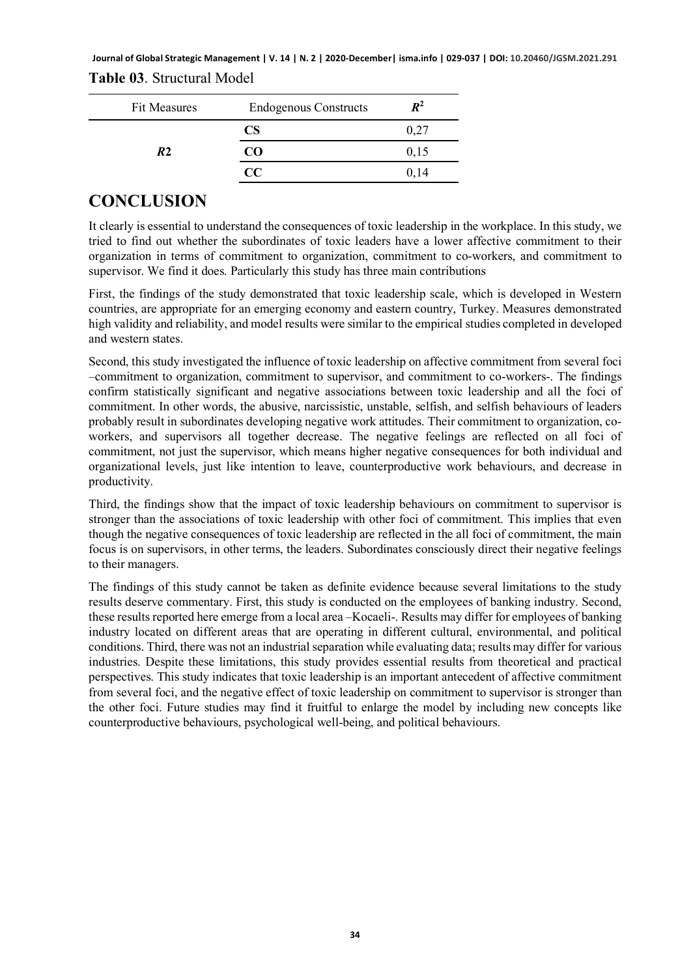**Journal of Global Strategic Management | V. 14 | N. 2 | 2020-December| isma.info | 029-037 | DOI: 10.20460/JGSM.2021.291 Table 03**. Structural Model

| <b>Fit Measures</b> | <b>Endogenous Constructs</b> | $\boldsymbol{R^2}$ |
|---------------------|------------------------------|--------------------|
|                     | CS.                          | 0,27               |
| R <sub>2</sub>      | CO                           | 0,15               |
|                     | $\alpha$                     | 0.14               |

#### **CONCLUSION**

It clearly is essential to understand the consequences of toxic leadership in the workplace. In this study, we tried to find out whether the subordinates of toxic leaders have a lower affective commitment to their organization in terms of commitment to organization, commitment to co-workers, and commitment to supervisor. We find it does. Particularly this study has three main contributions

First, the findings of the study demonstrated that toxic leadership scale, which is developed in Western countries, are appropriate for an emerging economy and eastern country, Turkey. Measures demonstrated high validity and reliability, and model results were similar to the empirical studies completed in developed and western states.

Second, this study investigated the influence of toxic leadership on affective commitment from several foci –commitment to organization, commitment to supervisor, and commitment to co-workers-. The findings confirm statistically significant and negative associations between toxic leadership and all the foci of commitment. In other words, the abusive, narcissistic, unstable, selfish, and selfish behaviours of leaders probably result in subordinates developing negative work attitudes. Their commitment to organization, coworkers, and supervisors all together decrease. The negative feelings are reflected on all foci of commitment, not just the supervisor, which means higher negative consequences for both individual and organizational levels, just like intention to leave, counterproductive work behaviours, and decrease in productivity.

Third, the findings show that the impact of toxic leadership behaviours on commitment to supervisor is stronger than the associations of toxic leadership with other foci of commitment. This implies that even though the negative consequences of toxic leadership are reflected in the all foci of commitment, the main focus is on supervisors, in other terms, the leaders. Subordinates consciously direct their negative feelings to their managers.

The findings of this study cannot be taken as definite evidence because several limitations to the study results deserve commentary. First, this study is conducted on the employees of banking industry. Second, these results reported here emerge from a local area –Kocaeli-. Results may differ for employees of banking industry located on different areas that are operating in different cultural, environmental, and political conditions. Third, there was not an industrial separation while evaluating data; results may differ for various industries. Despite these limitations, this study provides essential results from theoretical and practical perspectives. This study indicates that toxic leadership is an important antecedent of affective commitment from several foci, and the negative effect of toxic leadership on commitment to supervisor is stronger than the other foci. Future studies may find it fruitful to enlarge the model by including new concepts like counterproductive behaviours, psychological well-being, and political behaviours.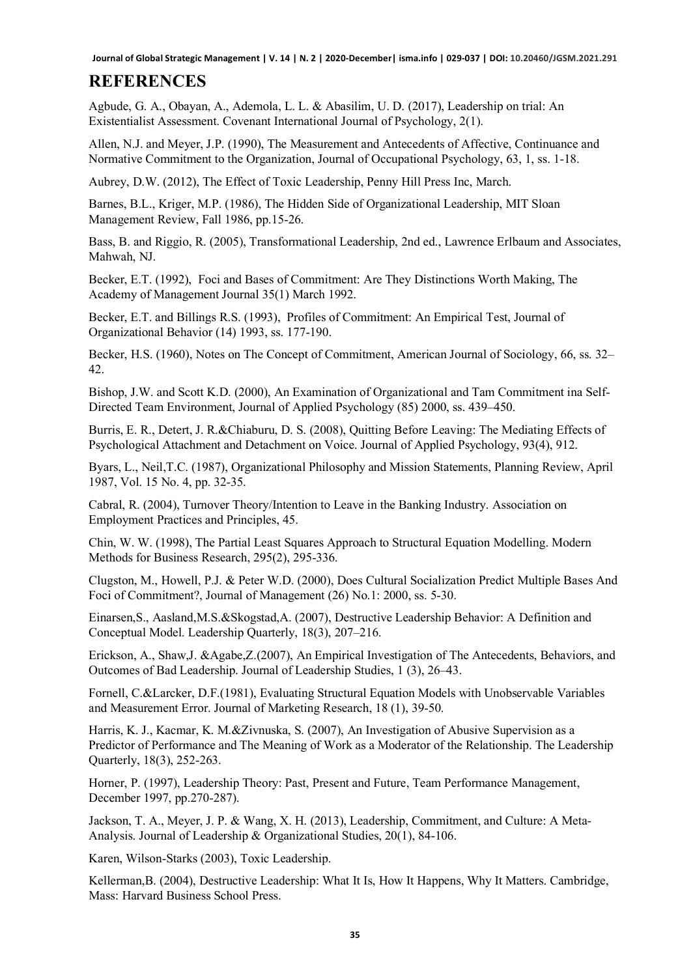## **REFERENCES**

Agbude, G. A., Obayan, A., Ademola, L. L. & Abasilim, U. D. (2017), Leadership on trial: An Existentialist Assessment. Covenant International Journal of Psychology, 2(1).

Allen, N.J. and Meyer, J.P. (1990), The Measurement and Antecedents of Affective, Continuance and Normative Commitment to the Organization, Journal of Occupational Psychology, 63, 1, ss. 1-18.

Aubrey, D.W. (2012), The Effect of Toxic Leadership, Penny Hill Press Inc, March.

Barnes, B.L., Kriger, M.P. (1986), The Hidden Side of Organizational Leadership, MIT Sloan Management Review, Fall 1986, pp.15-26.

Bass, B. and Riggio, R. (2005), Transformational Leadership, 2nd ed., Lawrence Erlbaum and Associates, Mahwah, NJ.

Becker, E.T. (1992), Foci and Bases of Commitment: Are They Distinctions Worth Making, The Academy of Management Journal 35(1) March 1992.

Becker, E.T. and Billings R.S. (1993), Profiles of Commitment: An Empirical Test, Journal of Organizational Behavior (14) 1993, ss. 177-190.

Becker, H.S. (1960), Notes on The Concept of Commitment, American Journal of Sociology, 66, ss. 32– 42.

Bishop, J.W. and Scott K.D. (2000), An Examination of Organizational and Tam Commitment ina Self-Directed Team Environment, Journal of Applied Psychology (85) 2000, ss. 439–450.

Burris, E. R., Detert, J. R.&Chiaburu, D. S. (2008), Quitting Before Leaving: The Mediating Effects of Psychological Attachment and Detachment on Voice. Journal of Applied Psychology, 93(4), 912.

Byars, L., Neil,T.C. (1987), Organizational Philosophy and Mission Statements, Planning Review, April 1987, Vol. 15 No. 4, pp. 32-35.

Cabral, R. (2004), Turnover Theory/Intention to Leave in the Banking Industry. Association on Employment Practices and Principles, 45.

Chin, W. W. (1998), The Partial Least Squares Approach to Structural Equation Modelling. Modern Methods for Business Research, 295(2), 295-336.

Clugston, M., Howell, P.J. & Peter W.D. (2000), Does Cultural Socialization Predict Multiple Bases And Foci of Commitment?, Journal of Management (26) No.1: 2000, ss. 5-30.

Einarsen,S., Aasland,M.S.&Skogstad,A. (2007), Destructive Leadership Behavior: A Definition and Conceptual Model. Leadership Quarterly, 18(3), 207–216.

Erickson, A., Shaw,J. &Agabe,Z.(2007), An Empirical Investigation of The Antecedents, Behaviors, and Outcomes of Bad Leadership. Journal of Leadership Studies, 1 (3), 26–43.

Fornell, C.&Larcker, D.F.(1981), Evaluating Structural Equation Models with Unobservable Variables and Measurement Error. Journal of Marketing Research, 18 (1), 39-50.

Harris, K. J., Kacmar, K. M.&Zivnuska, S. (2007), An Investigation of Abusive Supervision as a Predictor of Performance and The Meaning of Work as a Moderator of the Relationship. The Leadership Quarterly, 18(3), 252-263.

Horner, P. (1997), Leadership Theory: Past, Present and Future, Team Performance Management, December 1997, pp.270-287).

Jackson, T. A., Meyer, J. P. & Wang, X. H. (2013), Leadership, Commitment, and Culture: A Meta-Analysis. Journal of Leadership & Organizational Studies, 20(1), 84-106.

Karen, Wilson-Starks (2003), Toxic Leadership.

Kellerman,B. (2004), Destructive Leadership: What It Is, How It Happens, Why It Matters. Cambridge, Mass: Harvard Business School Press.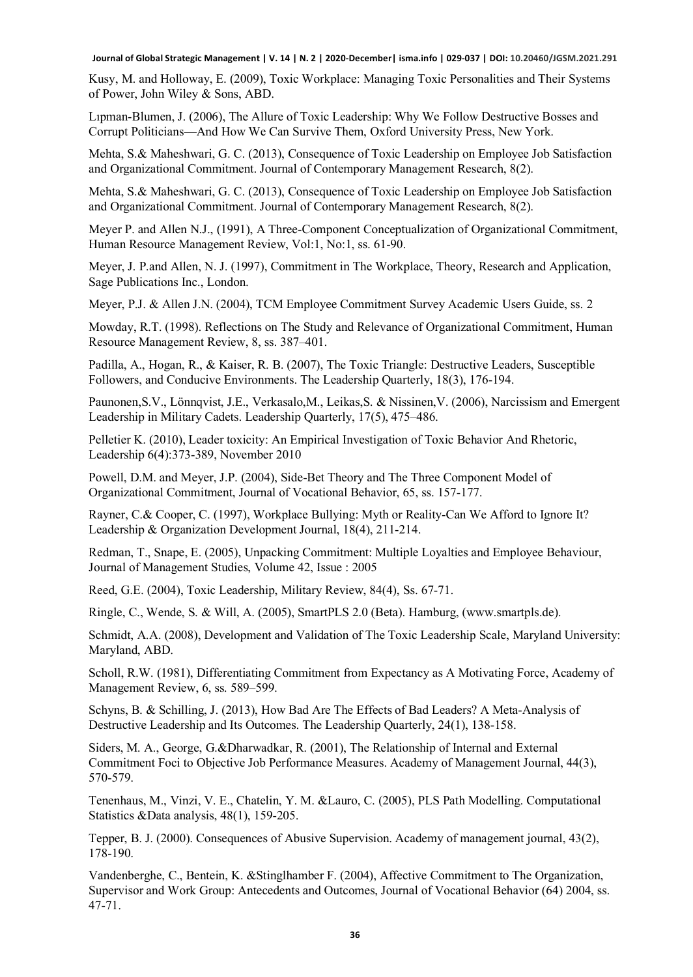Kusy, M. and Holloway, E. (2009), Toxic Workplace: Managing Toxic Personalities and Their Systems of Power, John Wiley & Sons, ABD.

Lıpman-Blumen, J. (2006), The Allure of Toxic Leadership: Why We Follow Destructive Bosses and Corrupt Politicians—And How We Can Survive Them, Oxford University Press, New York.

Mehta, S.& Maheshwari, G. C. (2013), Consequence of Toxic Leadership on Employee Job Satisfaction and Organizational Commitment. Journal of Contemporary Management Research, 8(2).

Mehta, S.& Maheshwari, G. C. (2013), Consequence of Toxic Leadership on Employee Job Satisfaction and Organizational Commitment. Journal of Contemporary Management Research, 8(2).

Meyer P. and Allen N.J., (1991), A Three-Component Conceptualization of Organizational Commitment, Human Resource Management Review, Vol:1, No:1, ss. 61-90.

Meyer, J. P.and Allen, N. J. (1997), Commitment in The Workplace, Theory, Research and Application, Sage Publications Inc., London.

Meyer, P.J. & Allen J.N. (2004), TCM Employee Commitment Survey Academic Users Guide, ss. 2

Mowday, R.T. (1998). Reflections on The Study and Relevance of Organizational Commitment, Human Resource Management Review, 8, ss. 387–401.

Padilla, A., Hogan, R., & Kaiser, R. B. (2007), The Toxic Triangle: Destructive Leaders, Susceptible Followers, and Conducive Environments. The Leadership Quarterly, 18(3), 176-194.

Paunonen,S.V., Lönnqvist, J.E., Verkasalo,M., Leikas,S. & Nissinen,V. (2006), Narcissism and Emergent Leadership in Military Cadets. Leadership Quarterly, 17(5), 475–486.

Pelletier K. (2010), Leader toxicity: An Empirical Investigation of Toxic Behavior And Rhetoric, Leadership 6(4):373-389, November 2010

Powell, D.M. and Meyer, J.P. (2004), Side-Bet Theory and The Three Component Model of Organizational Commitment, Journal of Vocational Behavior, 65, ss. 157-177.

Rayner, C.& Cooper, C. (1997), Workplace Bullying: Myth or Reality-Can We Afford to Ignore It? Leadership & Organization Development Journal, 18(4), 211-214.

Redman, T., Snape, E. (2005), Unpacking Commitment: Multiple Loyalties and Employee Behaviour, Journal of Management Studies, Volume 42, Issue : 2005

Reed, G.E. (2004), Toxic Leadership, Military Review, 84(4), Ss. 67-71.

Ringle, C., Wende, S. & Will, A. (2005), SmartPLS 2.0 (Beta). Hamburg, (www.smartpls.de).

Schmidt, A.A. (2008), Development and Validation of The Toxic Leadership Scale, Maryland University: Maryland, ABD.

Scholl, R.W. (1981), Differentiating Commitment from Expectancy as A Motivating Force, Academy of Management Review, 6, ss. 589–599.

Schyns, B. & Schilling, J. (2013), How Bad Are The Effects of Bad Leaders? A Meta-Analysis of Destructive Leadership and Its Outcomes. The Leadership Quarterly, 24(1), 138-158.

Siders, M. A., George, G.&Dharwadkar, R. (2001), The Relationship of Internal and External Commitment Foci to Objective Job Performance Measures. Academy of Management Journal, 44(3), 570-579.

Tenenhaus, M., Vinzi, V. E., Chatelin, Y. M. &Lauro, C. (2005), PLS Path Modelling. Computational Statistics &Data analysis, 48(1), 159-205.

Tepper, B. J. (2000). Consequences of Abusive Supervision. Academy of management journal, 43(2), 178-190.

Vandenberghe, C., Bentein, K. &Stinglhamber F. (2004), Affective Commitment to The Organization, Supervisor and Work Group: Antecedents and Outcomes, Journal of Vocational Behavior (64) 2004, ss. 47-71.